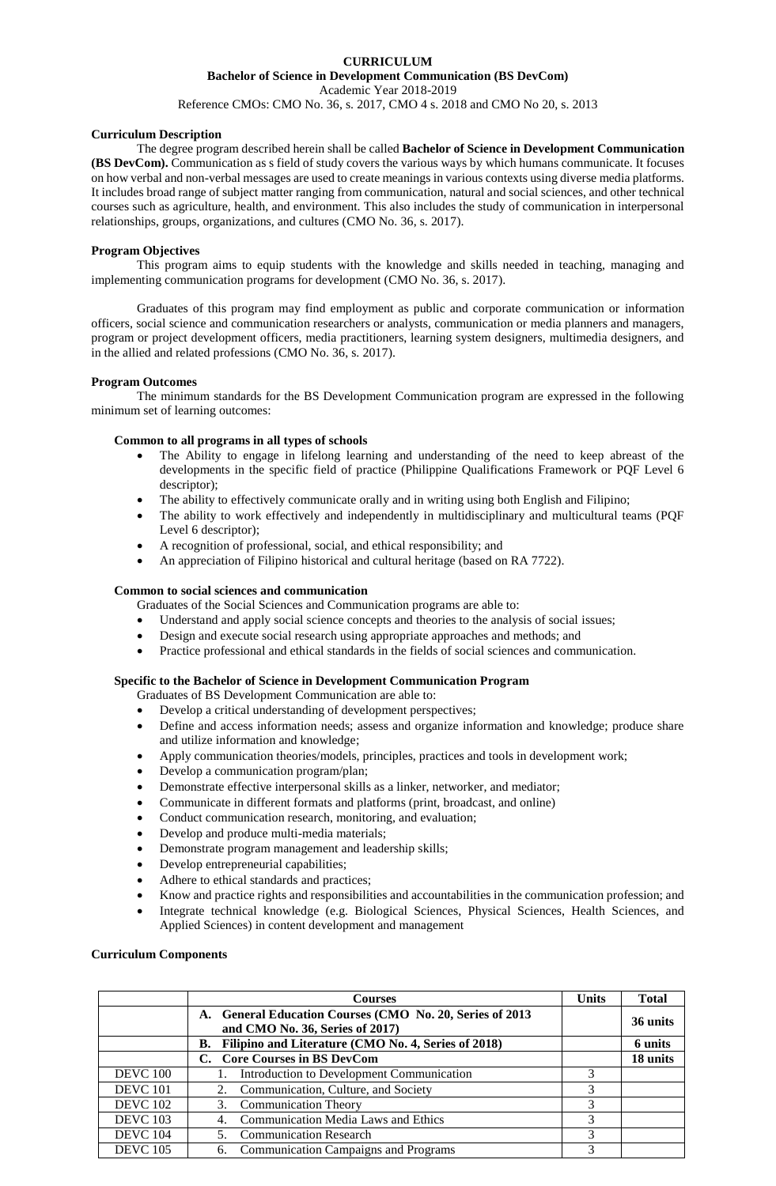## **CURRICULUM Bachelor of Science in Development Communication (BS DevCom)**

Academic Year 2018-2019 Reference CMOs: CMO No. 36, s. 2017, CMO 4 s. 2018 and CMO No 20, s. 2013

## **Curriculum Description**

The degree program described herein shall be called **Bachelor of Science in Development Communication (BS DevCom).** Communication as s field of study covers the various ways by which humans communicate. It focuses on how verbal and non-verbal messages are used to create meanings in various contexts using diverse media platforms. It includes broad range of subject matter ranging from communication, natural and social sciences, and other technical courses such as agriculture, health, and environment. This also includes the study of communication in interpersonal relationships, groups, organizations, and cultures (CMO No. 36, s. 2017).

### **Program Objectives**

This program aims to equip students with the knowledge and skills needed in teaching, managing and implementing communication programs for development (CMO No. 36, s. 2017).

Graduates of this program may find employment as public and corporate communication or information officers, social science and communication researchers or analysts, communication or media planners and managers, program or project development officers, media practitioners, learning system designers, multimedia designers, and in the allied and related professions (CMO No. 36, s. 2017).

#### **Program Outcomes**

The minimum standards for the BS Development Communication program are expressed in the following minimum set of learning outcomes:

## **Common to all programs in all types of schools**

- The Ability to engage in lifelong learning and understanding of the need to keep abreast of the developments in the specific field of practice (Philippine Qualifications Framework or PQF Level 6 descriptor);
- The ability to effectively communicate orally and in writing using both English and Filipino;
- The ability to work effectively and independently in multidisciplinary and multicultural teams (PQF Level 6 descriptor);
- A recognition of professional, social, and ethical responsibility; and
- An appreciation of Filipino historical and cultural heritage (based on RA 7722).

### **Common to social sciences and communication**

Graduates of the Social Sciences and Communication programs are able to:

- Understand and apply social science concepts and theories to the analysis of social issues;
- Design and execute social research using appropriate approaches and methods; and
- Practice professional and ethical standards in the fields of social sciences and communication.

#### **Specific to the Bachelor of Science in Development Communication Program**

Graduates of BS Development Communication are able to:

- Develop a critical understanding of development perspectives;
- Define and access information needs; assess and organize information and knowledge; produce share and utilize information and knowledge;
- Apply communication theories/models, principles, practices and tools in development work;
- Develop a communication program/plan;
- Demonstrate effective interpersonal skills as a linker, networker, and mediator;
- Communicate in different formats and platforms (print, broadcast, and online)
- Conduct communication research, monitoring, and evaluation;
- Develop and produce multi-media materials;
- Demonstrate program management and leadership skills;
- Develop entrepreneurial capabilities;
- Adhere to ethical standards and practices;
- Know and practice rights and responsibilities and accountabilities in the communication profession; and
- Integrate technical knowledge (e.g. Biological Sciences, Physical Sciences, Health Sciences, and Applied Sciences) in content development and management

#### **Curriculum Components**

|                 | <b>Courses</b>                                                                              | <b>Units</b> | <b>Total</b> |
|-----------------|---------------------------------------------------------------------------------------------|--------------|--------------|
|                 | A. General Education Courses (CMO No. 20, Series of 2013<br>and CMO No. 36, Series of 2017) |              | 36 units     |
|                 | Filipino and Literature (CMO No. 4, Series of 2018)<br>В.                                   |              | 6 units      |
|                 | <b>Core Courses in BS DevCom</b><br>C.                                                      |              | 18 units     |
| <b>DEVC</b> 100 | Introduction to Development Communication                                                   |              |              |
| <b>DEVC</b> 101 | Communication, Culture, and Society<br>2.                                                   |              |              |
| <b>DEVC</b> 102 | <b>Communication Theory</b><br>3.                                                           | 3            |              |
| DEVC 103        | <b>Communication Media Laws and Ethics</b><br>4.                                            | 3            |              |
| <b>DEVC</b> 104 | <b>Communication Research</b><br>5.                                                         | 3            |              |
| <b>DEVC</b> 105 | <b>Communication Campaigns and Programs</b><br>6.                                           | 3            |              |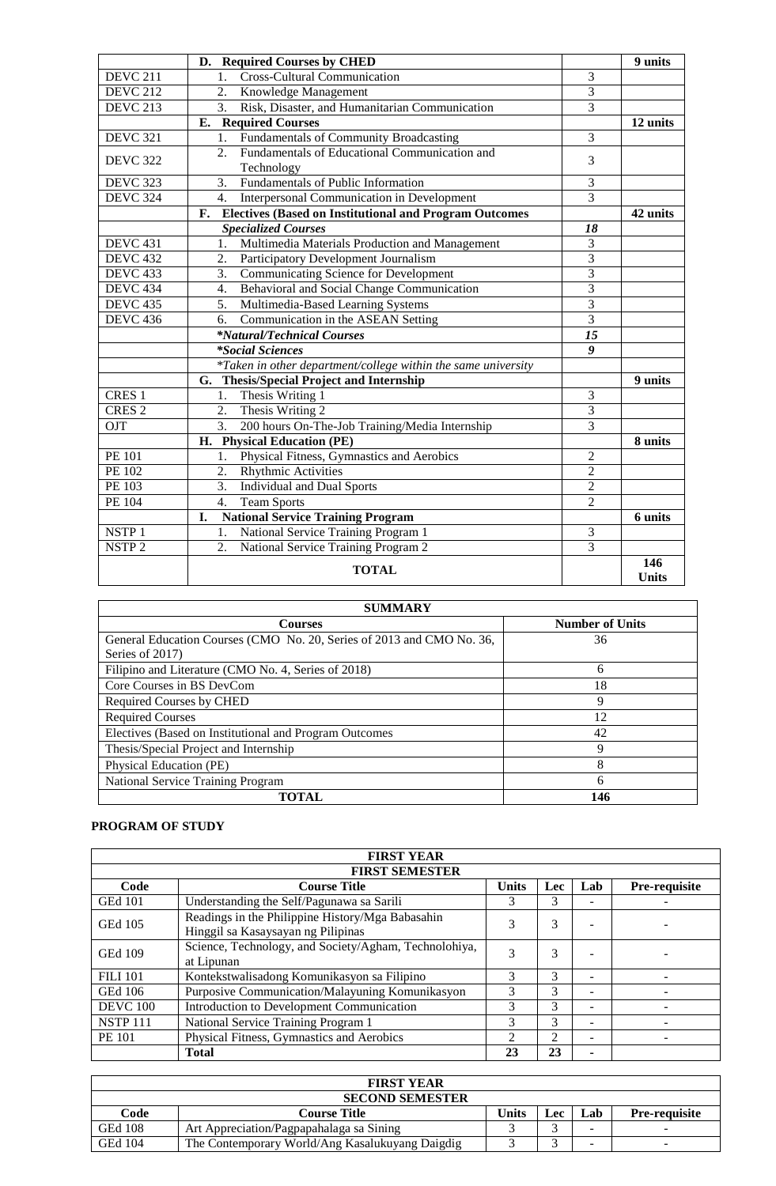|                      | D. Required Courses by CHED                                         |                         | 9 units      |
|----------------------|---------------------------------------------------------------------|-------------------------|--------------|
| <b>DEVC 211</b>      | <b>Cross-Cultural Communication</b><br>1 <sub>1</sub>               | 3                       |              |
| <b>DEVC 212</b>      | 2.<br>Knowledge Management                                          | $\overline{3}$          |              |
| <b>DEVC 213</b>      | $\overline{3}$ .<br>Risk, Disaster, and Humanitarian Communication  | $\overline{3}$          |              |
|                      | <b>E.</b> Required Courses                                          |                         | 12 units     |
| $DEV\overline{C}321$ | Fundamentals of Community Broadcasting<br>1.                        | 3                       |              |
| <b>DEVC 322</b>      | Fundamentals of Educational Communication and<br>2.<br>Technology   | 3                       |              |
| <b>DEVC 323</b>      | Fundamentals of Public Information<br>3.                            | 3                       |              |
| <b>DEVC 324</b>      | Interpersonal Communication in Development<br>4.                    | $\overline{3}$          |              |
|                      | <b>Electives (Based on Institutional and Program Outcomes</b><br>F. |                         | 42 units     |
|                      | <b>Specialized Courses</b>                                          | 18                      |              |
| <b>DEVC 431</b>      | Multimedia Materials Production and Management<br>1.                | 3                       |              |
| <b>DEVC 432</b>      | Participatory Development Journalism<br>2.                          | $\overline{3}$          |              |
| <b>DEVC 433</b>      | 3.<br>Communicating Science for Development                         | $\overline{\mathbf{3}}$ |              |
| <b>DEVC 434</b>      | Behavioral and Social Change Communication<br>4.                    | $\overline{3}$          |              |
| <b>DEVC 435</b>      | Multimedia-Based Learning Systems<br>5 <sub>1</sub>                 | $\overline{3}$          |              |
| <b>DEVC 436</b>      | Communication in the ASEAN Setting<br>6.                            | $\overline{3}$          |              |
|                      | <i>*Natural/Technical Courses</i>                                   | $\overline{15}$         |              |
|                      | <i>*Social Sciences</i>                                             | $\overline{g}$          |              |
|                      | *Taken in other department/college within the same university       |                         |              |
|                      | <b>Thesis/Special Project and Internship</b><br>G.                  |                         | 9 units      |
| CRES <sub>1</sub>    | Thesis Writing 1<br>1.                                              | 3                       |              |
| CRES <sub>2</sub>    | Thesis Writing 2<br>2.                                              | $\overline{3}$          |              |
| OJT                  | 200 hours On-The-Job Training/Media Internship<br>3.                | $\overline{3}$          |              |
|                      | H. Physical Education (PE)                                          |                         | 8 units      |
| <b>PE 101</b>        | Physical Fitness, Gymnastics and Aerobics<br>$\mathbf{1}$ .         | $\overline{2}$          |              |
| PE 102               | <b>Rhythmic Activities</b><br>2.                                    | $\overline{2}$          |              |
| PE 103               | 3.<br><b>Individual and Dual Sports</b>                             | $\overline{2}$          |              |
| PE 104               | 4.<br><b>Team Sports</b>                                            | $\overline{2}$          |              |
|                      | <b>National Service Training Program</b><br>I.                      |                         | 6 units      |
| NSTP <sub>1</sub>    | National Service Training Program 1<br>1.                           | 3                       |              |
| NSTP <sub>2</sub>    | National Service Training Program 2<br>2.                           | $\overline{3}$          |              |
|                      | <b>TOTAL</b>                                                        |                         | 146<br>Units |

| <b>SUMMARY</b>                                                        |                        |  |  |  |  |  |
|-----------------------------------------------------------------------|------------------------|--|--|--|--|--|
| <b>Courses</b>                                                        | <b>Number of Units</b> |  |  |  |  |  |
| General Education Courses (CMO No. 20, Series of 2013 and CMO No. 36, | 36                     |  |  |  |  |  |
| Series of 2017)                                                       |                        |  |  |  |  |  |
| Filipino and Literature (CMO No. 4, Series of 2018)                   | 6                      |  |  |  |  |  |
| Core Courses in BS DevCom                                             | 18                     |  |  |  |  |  |
| Required Courses by CHED                                              | 9                      |  |  |  |  |  |
| <b>Required Courses</b>                                               | 12                     |  |  |  |  |  |
| Electives (Based on Institutional and Program Outcomes                | 42                     |  |  |  |  |  |
| Thesis/Special Project and Internship                                 | 9                      |  |  |  |  |  |
| Physical Education (PE)                                               | 8                      |  |  |  |  |  |
| National Service Training Program                                     | 6                      |  |  |  |  |  |
| <b>TOTAL</b>                                                          | 146                    |  |  |  |  |  |

# **PROGRAM OF STUDY**

|                       | <b>FIRST YEAR</b>                                                                      |              |     |     |               |
|-----------------------|----------------------------------------------------------------------------------------|--------------|-----|-----|---------------|
| <b>FIRST SEMESTER</b> |                                                                                        |              |     |     |               |
| Code                  | <b>Course Title</b>                                                                    | <b>Units</b> | Lec | Lab | Pre-requisite |
| <b>GEd 101</b>        | Understanding the Self/Pagunawa sa Sarili                                              | 3            | 3   |     |               |
| <b>GEd 105</b>        | Readings in the Philippine History/Mga Babasahin<br>Hinggil sa Kasaysayan ng Pilipinas | 3            | 3   |     |               |
| GE <sub>d</sub> 109   | Science, Technology, and Society/Agham, Technolohiya,<br>at Lipunan                    | 3            | 3   |     |               |
| <b>FILI 101</b>       | Kontekstwalisadong Komunikasyon sa Filipino                                            | 3            | 3   | -   |               |
| GEd 106               | Purposive Communication/Malayuning Komunikasyon                                        | 3            | 3   | -   |               |
| <b>DEVC</b> 100       | Introduction to Development Communication                                              | 3            | 3   | -   |               |
| <b>NSTP 111</b>       | National Service Training Program 1                                                    | 3            | 3   |     |               |
| <b>PE 101</b>         | Physical Fitness, Gymnastics and Aerobics                                              | 2            | ◠   | -   |               |
|                       | <b>Total</b>                                                                           | 23           | 23  | ۰   |               |

| <b>FIRST YEAR</b>      |                                                 |       |            |                          |                          |
|------------------------|-------------------------------------------------|-------|------------|--------------------------|--------------------------|
| <b>SECOND SEMESTER</b> |                                                 |       |            |                          |                          |
| Code                   | <b>Course Title</b>                             | Units | <b>Lec</b> | Lab                      | <b>Pre-requisite</b>     |
| GEd 108                | Art Appreciation/Pagpapahalaga sa Sining        |       |            | $\overline{\phantom{a}}$ | $\overline{\phantom{0}}$ |
| GEd 104                | The Contemporary World/Ang Kasalukuyang Daigdig |       |            | -                        | -                        |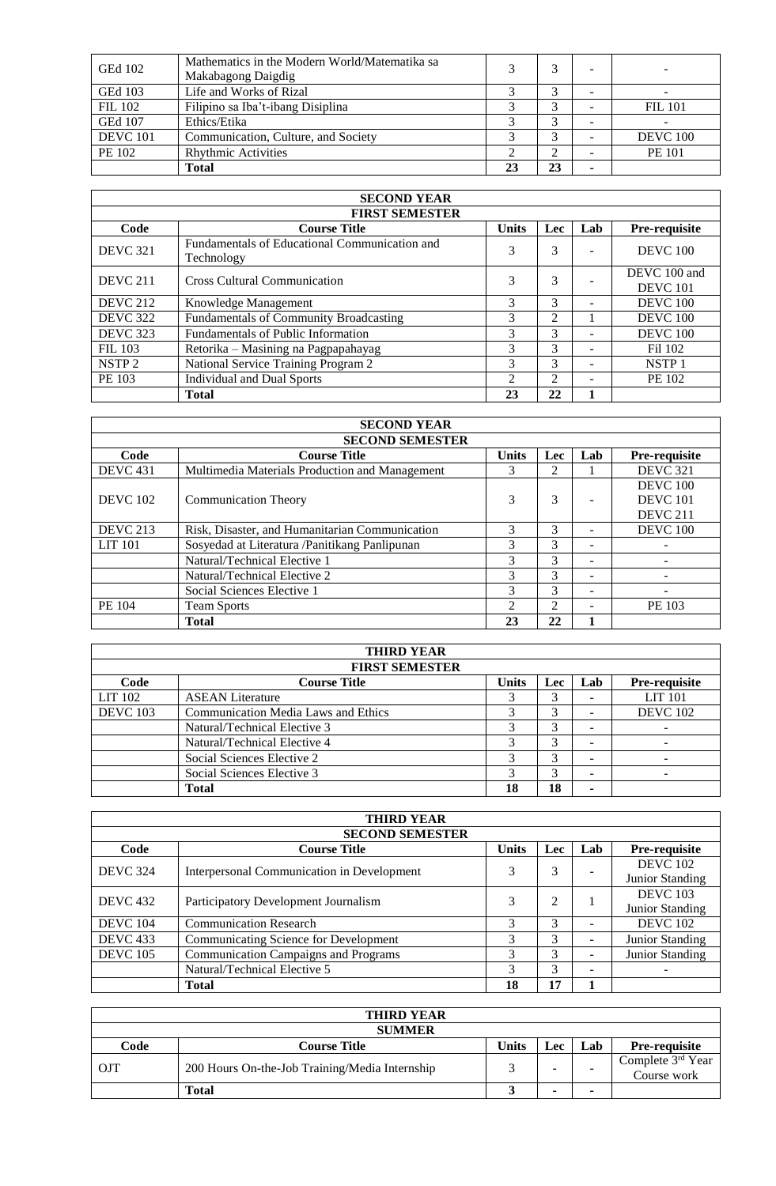| <b>GEd 102</b>  | Mathematics in the Modern World/Matematika sa<br>Makabagong Daigdig |    |    | -      |                 |
|-----------------|---------------------------------------------------------------------|----|----|--------|-----------------|
| <b>GEd 103</b>  | Life and Works of Rizal                                             |    |    | -      |                 |
| <b>FIL 102</b>  | Filipino sa Iba't-ibang Disiplina                                   |    |    | $\sim$ | <b>FIL 101</b>  |
| <b>GEd 107</b>  | Ethics/Etika                                                        |    |    | -      |                 |
| <b>DEVC</b> 101 | Communication, Culture, and Society                                 |    | ⌒  |        | <b>DEVC</b> 100 |
| PE 102          | <b>Rhythmic Activities</b>                                          |    | ◠  |        | <b>PE 101</b>   |
|                 | Total                                                               | 23 | 23 | -      |                 |

| <b>SECOND YEAR</b>    |                                                             |                |     |     |                                 |  |
|-----------------------|-------------------------------------------------------------|----------------|-----|-----|---------------------------------|--|
| <b>FIRST SEMESTER</b> |                                                             |                |     |     |                                 |  |
| Code                  | <b>Course Title</b>                                         | <b>Units</b>   | Lec | Lab | Pre-requisite                   |  |
| <b>DEVC</b> 321       | Fundamentals of Educational Communication and<br>Technology | 3              | 3   |     | <b>DEVC</b> 100                 |  |
| <b>DEVC 211</b>       | <b>Cross Cultural Communication</b>                         | 3              | 3   |     | DEVC 100 and<br><b>DEVC</b> 101 |  |
| <b>DEVC 212</b>       | Knowledge Management                                        | 3              | 3   | ۰   | <b>DEVC</b> 100                 |  |
| <b>DEVC 322</b>       | <b>Fundamentals of Community Broadcasting</b>               | 3              | っ   |     | <b>DEVC</b> 100                 |  |
| <b>DEVC 323</b>       | Fundamentals of Public Information                          | 3              | 3   |     | <b>DEVC</b> 100                 |  |
| <b>FIL 103</b>        | Retorika – Masining na Pagpapahayag                         | 3              | 3   | -   | Fil 102                         |  |
| NSTP <sub>2</sub>     | National Service Training Program 2                         | 3              | 3   |     | NSTP <sub>1</sub>               |  |
| PE 103                | <b>Individual and Dual Sports</b>                           | $\mathfrak{D}$ | ◠   | -   | PE 102                          |  |
|                       | <b>Total</b>                                                | 23             | 22  |     |                                 |  |

|                        | <b>SECOND YEAR</b>                             |                             |            |     |                 |  |
|------------------------|------------------------------------------------|-----------------------------|------------|-----|-----------------|--|
| <b>SECOND SEMESTER</b> |                                                |                             |            |     |                 |  |
| Code                   | <b>Course Title</b>                            | <b>Units</b>                | <b>Lec</b> | Lab | Pre-requisite   |  |
| <b>DEVC</b> 431        | Multimedia Materials Production and Management | 3                           | າ          |     | <b>DEVC</b> 321 |  |
|                        |                                                |                             |            |     | <b>DEVC</b> 100 |  |
| <b>DEVC</b> 102        | <b>Communication Theory</b>                    | 3                           | 3          |     | <b>DEVC</b> 101 |  |
|                        |                                                |                             |            |     | <b>DEVC 211</b> |  |
| <b>DEVC 213</b>        | Risk, Disaster, and Humanitarian Communication | 3                           | 3          |     | <b>DEVC</b> 100 |  |
| <b>LIT 101</b>         | Sosyedad at Literatura /Panitikang Panlipunan  | 3                           | 3          |     |                 |  |
|                        | Natural/Technical Elective 1                   | 3                           | 3          |     |                 |  |
|                        | Natural/Technical Elective 2                   | $\mathcal{R}$               | 3          | -   |                 |  |
|                        | Social Sciences Elective 1                     | 3                           | 3          |     |                 |  |
| PE 104                 | <b>Team Sports</b>                             | $\mathcal{D}_{\mathcal{L}}$ | ↑          |     | PE 103          |  |
|                        | <b>Total</b>                                   | 23                          | 22         |     |                 |  |

|                 | <b>THIRD YEAR</b>                          |              |            |                |                 |
|-----------------|--------------------------------------------|--------------|------------|----------------|-----------------|
|                 | <b>FIRST SEMESTER</b>                      |              |            |                |                 |
| Code            | <b>Course Title</b>                        | <b>Units</b> | <b>Lec</b> | Lab            | Pre-requisite   |
| LIT 102         | <b>ASEAN</b> Literature                    |              |            |                | <b>LIT 101</b>  |
| <b>DEVC</b> 103 | <b>Communication Media Laws and Ethics</b> |              |            |                | <b>DEVC 102</b> |
|                 | Natural/Technical Elective 3               |              |            |                |                 |
|                 | Natural/Technical Elective 4               |              |            | -              |                 |
|                 | Social Sciences Elective 2                 |              | ⌒          |                |                 |
|                 | Social Sciences Elective 3                 |              |            |                |                 |
|                 | <b>Total</b>                               | 18           | 18         | $\blacksquare$ |                 |

| <b>THIRD YEAR</b> |                                                   |              |     |     |                 |
|-------------------|---------------------------------------------------|--------------|-----|-----|-----------------|
|                   | <b>SECOND SEMESTER</b>                            |              |     |     |                 |
| Code              | <b>Course Title</b>                               | <b>Units</b> | Lec | Lab | Pre-requisite   |
| <b>DEVC</b> 324   | <b>Interpersonal Communication in Development</b> | 3            | 3   |     | <b>DEVC</b> 102 |
|                   |                                                   |              |     |     | Junior Standing |
| <b>DEVC</b> 432   | Participatory Development Journalism              | 3            | ∍   |     | <b>DEVC</b> 103 |
|                   |                                                   |              |     |     | Junior Standing |
| <b>DEVC</b> 104   | <b>Communication Research</b>                     | 3            | 3   |     | <b>DEVC</b> 102 |
| <b>DEVC</b> 433   | Communicating Science for Development             | 3            | 3   | Ξ.  | Junior Standing |
| <b>DEVC</b> 105   | <b>Communication Campaigns and Programs</b>       | 3            | 3   | -   | Junior Standing |
|                   | Natural/Technical Elective 5                      | 3            | 3   | -   |                 |
|                   | <b>Total</b>                                      | 18           | 17  |     |                 |

| <b>THIRD YEAR</b> |                                                |       |            |     |                                    |
|-------------------|------------------------------------------------|-------|------------|-----|------------------------------------|
| <b>SUMMER</b>     |                                                |       |            |     |                                    |
| Code              | <b>Course Title</b>                            | Units | <b>Lec</b> | Lab | <b>Pre-requisite</b>               |
| OJT               | 200 Hours On-the-Job Training/Media Internship |       |            | -   | Complete $3rd$ Year<br>Course work |
|                   | Total                                          |       |            |     |                                    |